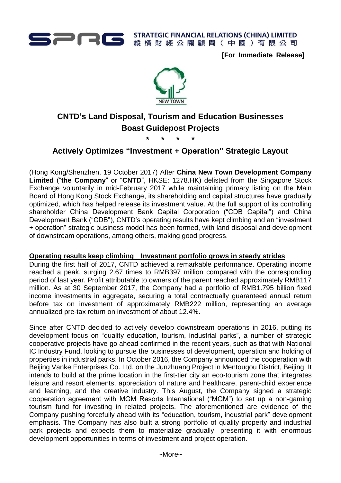

▶ STRATEGIC FINANCIAL RELATIONS (CHINA) LIMITED<br>▶ 縱橫財經公關顧問(中國)有限公司 縱橫財經公關顧問(中國)有限公司

**[For Immediate Release]**



# **CNTD's Land Disposal, Tourism and Education Businesses Boast Guidepost Projects**

**\* \* \* \***

# **Actively Optimizes "Investment + Operation" Strategic Layout**

(Hong Kong/Shenzhen, 19 October 2017) After **China New Town Development Company Limited** ("**the Company**" or "**CNTD**", HKSE: 1278.HK) delisted from the Singapore Stock Exchange voluntarily in mid-February 2017 while maintaining primary listing on the Main Board of Hong Kong Stock Exchange, its shareholding and capital structures have gradually optimized, which has helped release its investment value. At the full support of its controlling shareholder China Development Bank Capital Corporation ("CDB Capital") and China Development Bank ("CDB"), CNTD's operating results have kept climbing and an "investment + operation" strategic business model has been formed, with land disposal and development of downstream operations, among others, making good progress.

## **Operating results keep climbing Investment portfolio grows in steady strides**

During the first half of 2017, CNTD achieved a remarkable performance. Operating income reached a peak, surging 2.67 times to RMB397 million compared with the corresponding period of last year. Profit attributable to owners of the parent reached approximately RMB117 million. As at 30 September 2017, the Company had a portfolio of RMB1.795 billion fixed income investments in aggregate, securing a total contractually guaranteed annual return before tax on investment of approximately RMB222 million, representing an average annualized pre-tax return on investment of about 12.4%.

Since after CNTD decided to actively develop downstream operations in 2016, putting its development focus on "quality education, tourism, industrial parks", a number of strategic cooperative projects have go ahead confirmed in the recent years, such as that with National IC Industry Fund, looking to pursue the businesses of development, operation and holding of properties in industrial parks. In October 2016, the Company announced the cooperation with Beijing Vanke Enterprises Co. Ltd. on the Junzhuang Project in Mentougou District, Beijing. It intends to build at the prime location in the first-tier city an eco-tourism zone that integrates leisure and resort elements, appreciation of nature and healthcare, parent-child experience and learning, and the creative industry. This August, the Company signed a strategic cooperation agreement with MGM Resorts International ("MGM") to set up a non-gaming tourism fund for investing in related projects. The aforementioned are evidence of the Company pushing forcefully ahead with its "education, tourism, industrial park" development emphasis. The Company has also built a strong portfolio of quality property and industrial park projects and expects them to materialize gradually, presenting it with enormous development opportunities in terms of investment and project operation.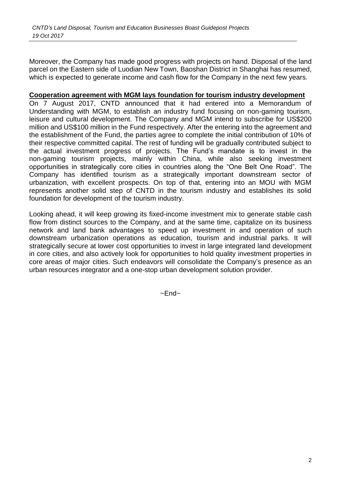Moreover, the Company has made good progress with projects on hand. Disposal of the land parcel on the Eastern side of Luodian New Town, Baoshan District in Shanghai has resumed, which is expected to generate income and cash flow for the Company in the next few years.

#### **Cooperation agreement with MGM lays foundation for tourism industry development**

On 7 August 2017, CNTD announced that it had entered into a Memorandum of Understanding with MGM, to establish an industry fund focusing on non-gaming tourism, leisure and cultural development. The Company and MGM intend to subscribe for US\$200 million and US\$100 million in the Fund respectively. After the entering into the agreement and the establishment of the Fund, the parties agree to complete the initial contribution of 10% of their respective committed capital. The rest of funding will be gradually contributed subject to the actual investment progress of projects. The Fund's mandate is to invest in the non-gaming tourism projects, mainly within China, while also seeking investment opportunities in strategically core cities in countries along the "One Belt One Road". The Company has identified tourism as a strategically important downstream sector of urbanization, with excellent prospects. On top of that, entering into an MOU with MGM represents another solid step of CNTD in the tourism industry and establishes its solid foundation for development of the tourism industry.

Looking ahead, it will keep growing its fixed-income investment mix to generate stable cash flow from distinct sources to the Company, and at the same time, capitalize on its business network and land bank advantages to speed up investment in and operation of such downstream urbanization operations as education, tourism and industrial parks. It will strategically secure at lower cost opportunities to invest in large integrated land development in core cities, and also actively look for opportunities to hold quality investment properties in core areas of major cities. Such endeavors will consolidate the Company's presence as an urban resources integrator and a one-stop urban development solution provider.

 $~\sim$ Fnd $~\sim$